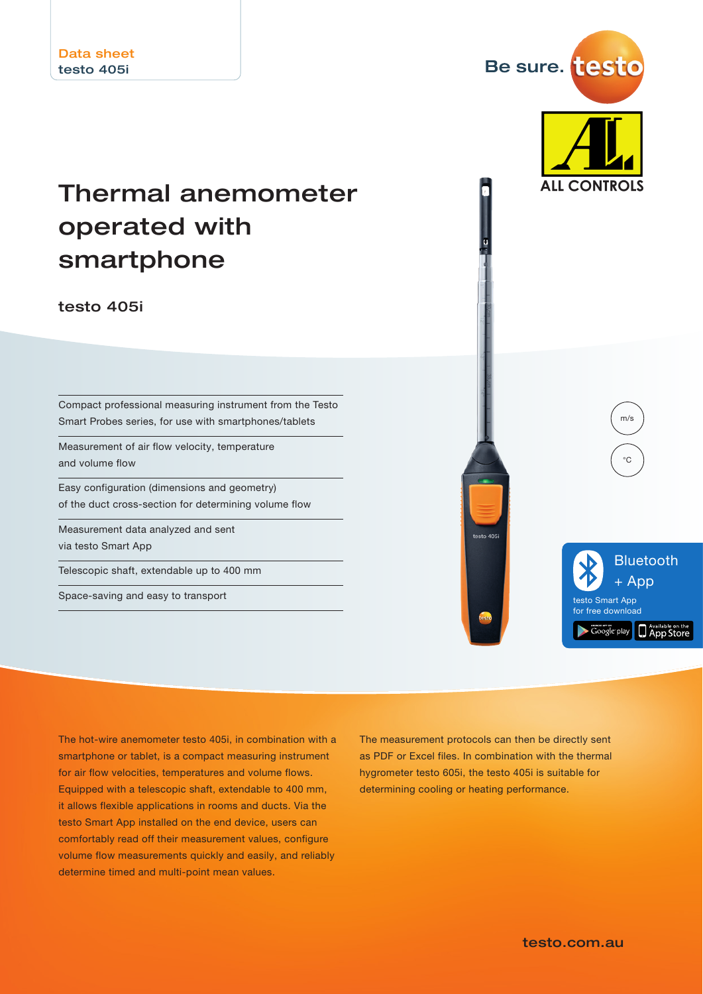# Thermal anemometer operated with smartphone

testo 405i

Compact professional measuring instrument from the Testo Smart Probes series, for use with smartphones/tablets

Measurement of air flow velocity, temperature and volume flow

Easy configuration (dimensions and geometry) of the duct cross-section for determining volume flow

Measurement data analyzed and sent via testo Smart App

Telescopic shaft, extendable up to 400 mm

Space-saving and easy to transport



Be sure. test

**ALL CONTROLS** 

The hot-wire anemometer testo 405i, in combination with a smartphone or tablet, is a compact measuring instrument for air flow velocities, temperatures and volume flows. Equipped with a telescopic shaft, extendable to 400 mm, it allows flexible applications in rooms and ducts. Via the testo Smart App installed on the end device, users can comfortably read off their measurement values, configure volume flow measurements quickly and easily, and reliably determine timed and multi-point mean values.

The measurement protocols can then be directly sent as PDF or Excel files. In combination with the thermal hygrometer testo 605i, the testo 405i is suitable for determining cooling or heating performance.